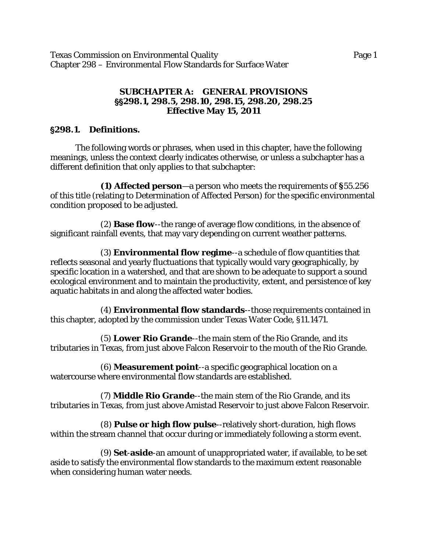Texas Commission on Environmental Quality Page 1 Chapter 298 – Environmental Flow Standards for Surface Water

### **SUBCHAPTER A: GENERAL PROVISIONS** ''**298.1, 298.5, 298.10, 298.15, 298.20, 298.25 Effective May 15, 2011**

# '**298.1. Definitions.**

The following words or phrases, when used in this chapter, have the following meanings, unless the context clearly indicates otherwise, or unless a subchapter has a different definition that only applies to that subchapter:

**(1) Affected person**—a person who meets the requirements of **§**55.256 of this title (relating to Determination of Affected Person) for the specific environmental condition proposed to be adjusted.

(2) **Base flow**--the range of average flow conditions, in the absence of significant rainfall events, that may vary depending on current weather patterns.

(3) **Environmental flow regime**--a schedule of flow quantities that reflects seasonal and yearly fluctuations that typically would vary geographically, by specific location in a watershed, and that are shown to be adequate to support a sound ecological environment and to maintain the productivity, extent, and persistence of key aquatic habitats in and along the affected water bodies.

(4) **Environmental flow standards**--those requirements contained in this chapter, adopted by the commission under Texas Water Code, §11.1471.

(5) **Lower Rio Grande**--the main stem of the Rio Grande, and its tributaries in Texas, from just above Falcon Reservoir to the mouth of the Rio Grande.

(6) **Measurement point**--a specific geographical location on a watercourse where environmental flow standards are established.

(7) **Middle Rio Grande**--the main stem of the Rio Grande, and its tributaries in Texas, from just above Amistad Reservoir to just above Falcon Reservoir.

(8) **Pulse or high flow pulse**--relatively short-duration, high flows within the stream channel that occur during or immediately following a storm event.

(9) **Set**-**aside**-an amount of unappropriated water, if available, to be set aside to satisfy the environmental flow standards to the maximum extent reasonable when considering human water needs.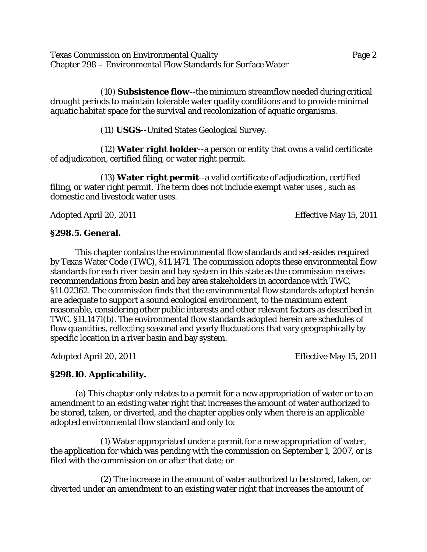Texas Commission on Environmental Quality Page 2 Chapter 298 – Environmental Flow Standards for Surface Water

(10) **Subsistence flow**--the minimum streamflow needed during critical drought periods to maintain tolerable water quality conditions and to provide minimal aquatic habitat space for the survival and recolonization of aquatic organisms.

(11) **USGS**--United States Geological Survey.

(12) **Water right holder**--a person or entity that owns a valid certificate of adjudication, certified filing, or water right permit.

(13) **Water right permit**--a valid certificate of adjudication, certified filing, or water right permit. The term does not include exempt water uses , such as domestic and livestock water uses.

Adopted April 20, 2011 **Effective May 15, 2011** 

## **§298.5. General.**

This chapter contains the environmental flow standards and set-asides required by Texas Water Code (TWC), §11.1471. The commission adopts these environmental flow standards for each river basin and bay system in this state as the commission receives recommendations from basin and bay area stakeholders in accordance with TWC, §11.02362. The commission finds that the environmental flow standards adopted herein are adequate to support a sound ecological environment, to the maximum extent reasonable, considering other public interests and other relevant factors as described in TWC, §11.1471(b). The environmental flow standards adopted herein are schedules of flow quantities, reflecting seasonal and yearly fluctuations that vary geographically by specific location in a river basin and bay system.

Adopted April 20, 2011 **Effective May 15, 2011** 

## **§298.10. Applicability.**

(a) This chapter only relates to a permit for a new appropriation of water or to an amendment to an existing water right that increases the amount of water authorized to be stored, taken, or diverted, and the chapter applies only when there is an applicable adopted environmental flow standard and only to:

(1) Water appropriated under a permit for a new appropriation of water, the application for which was pending with the commission on September 1, 2007, or is filed with the commission on or after that date; or

(2) The increase in the amount of water authorized to be stored, taken, or diverted under an amendment to an existing water right that increases the amount of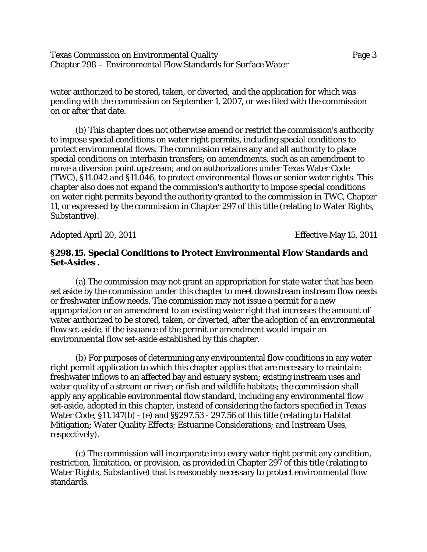Texas Commission on Environmental Quality Page 3 Chapter 298 – Environmental Flow Standards for Surface Water

water authorized to be stored, taken, or diverted, and the application for which was pending with the commission on September 1, 2007, or was filed with the commission on or after that date.

(b) This chapter does not otherwise amend or restrict the commission's authority to impose special conditions on water right permits, including special conditions to protect environmental flows. The commission retains any and all authority to place special conditions on interbasin transfers; on amendments, such as an amendment to move a diversion point upstream; and on authorizations under Texas Water Code (TWC), §11.042 and §11.046, to protect environmental flows or senior water rights. This chapter also does not expand the commission's authority to impose special conditions on water right permits beyond the authority granted to the commission in TWC, Chapter 11, or expressed by the commission in Chapter 297 of this title (relating to Water Rights, Substantive).

Adopted April 20, 2011 **Effective May 15, 2011** 

#### **§298.15. Special Conditions to Protect Environmental Flow Standards and Set-Asides .**

(a) The commission may not grant an appropriation for state water that has been set aside by the commission under this chapter to meet downstream instream flow needs or freshwater inflow needs. The commission may not issue a permit for a new appropriation or an amendment to an existing water right that increases the amount of water authorized to be stored, taken, or diverted, after the adoption of an environmental flow set-aside, if the issuance of the permit or amendment would impair an environmental flow set-aside established by this chapter.

(b) For purposes of determining any environmental flow conditions in any water right permit application to which this chapter applies that are necessary to maintain: freshwater inflows to an affected bay and estuary system; existing instream uses and water quality of a stream or river; or fish and wildlife habitats; the commission shall apply any applicable environmental flow standard, including any environmental flow set-aside, adopted in this chapter, instead of considering the factors specified in Texas Water Code, §11.147(b) - (e) and §§297.53 - 297.56 of this title (relating to Habitat Mitigation; Water Quality Effects; Estuarine Considerations; and Instream Uses, respectively).

(c) The commission will incorporate into every water right permit any condition, restriction, limitation, or provision, as provided in Chapter 297 of this title (relating to Water Rights, Substantive) that is reasonably necessary to protect environmental flow standards.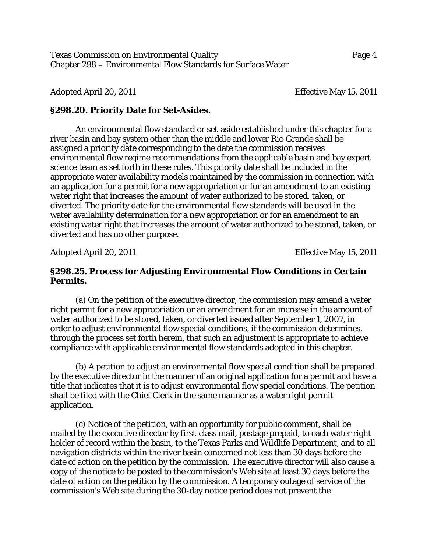Texas Commission on Environmental Quality Page 4 Chapter 298 – Environmental Flow Standards for Surface Water

Adopted April 20, 2011 **Effective May 15, 2011** 

#### **§298.20. Priority Date for Set-Asides.**

An environmental flow standard or set-aside established under this chapter for a river basin and bay system other than the middle and lower Rio Grande shall be assigned a priority date corresponding to the date the commission receives environmental flow regime recommendations from the applicable basin and bay expert science team as set forth in these rules. This priority date shall be included in the appropriate water availability models maintained by the commission in connection with an application for a permit for a new appropriation or for an amendment to an existing water right that increases the amount of water authorized to be stored, taken, or diverted. The priority date for the environmental flow standards will be used in the water availability determination for a new appropriation or for an amendment to an existing water right that increases the amount of water authorized to be stored, taken, or diverted and has no other purpose.

Adopted April 20, 2011 **Effective May 15, 2011** 

#### **§298.25. Process for Adjusting Environmental Flow Conditions in Certain Permits.**

(a) On the petition of the executive director, the commission may amend a water right permit for a new appropriation or an amendment for an increase in the amount of water authorized to be stored, taken, or diverted issued after September 1, 2007, in order to adjust environmental flow special conditions, if the commission determines, through the process set forth herein, that such an adjustment is appropriate to achieve compliance with applicable environmental flow standards adopted in this chapter.

(b) A petition to adjust an environmental flow special condition shall be prepared by the executive director in the manner of an original application for a permit and have a title that indicates that it is to adjust environmental flow special conditions. The petition shall be filed with the Chief Clerk in the same manner as a water right permit application.

(c) Notice of the petition, with an opportunity for public comment, shall be mailed by the executive director by first-class mail, postage prepaid, to each water right holder of record within the basin, to the Texas Parks and Wildlife Department, and to all navigation districts within the river basin concerned not less than 30 days before the date of action on the petition by the commission. The executive director will also cause a copy of the notice to be posted to the commission's Web site at least 30 days before the date of action on the petition by the commission. A temporary outage of service of the commission's Web site during the 30-day notice period does not prevent the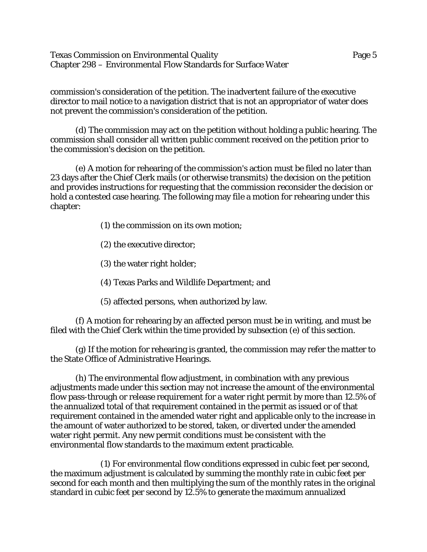Texas Commission on Environmental Quality Page 5 Chapter 298 – Environmental Flow Standards for Surface Water

commission's consideration of the petition. The inadvertent failure of the executive director to mail notice to a navigation district that is not an appropriator of water does not prevent the commission's consideration of the petition.

(d) The commission may act on the petition without holding a public hearing. The commission shall consider all written public comment received on the petition prior to the commission's decision on the petition.

(e) A motion for rehearing of the commission's action must be filed no later than 23 days after the Chief Clerk mails (or otherwise transmits) the decision on the petition and provides instructions for requesting that the commission reconsider the decision or hold a contested case hearing. The following may file a motion for rehearing under this chapter:

- (1) the commission on its own motion;
- (2) the executive director;
- (3) the water right holder;
- (4) Texas Parks and Wildlife Department; and
- (5) affected persons, when authorized by law.

(f) A motion for rehearing by an affected person must be in writing, and must be filed with the Chief Clerk within the time provided by subsection (e) of this section.

(g) If the motion for rehearing is granted, the commission may refer the matter to the State Office of Administrative Hearings.

(h) The environmental flow adjustment, in combination with any previous adjustments made under this section may not increase the amount of the environmental flow pass-through or release requirement for a water right permit by more than 12.5% of the annualized total of that requirement contained in the permit as issued or of that requirement contained in the amended water right and applicable only to the increase in the amount of water authorized to be stored, taken, or diverted under the amended water right permit. Any new permit conditions must be consistent with the environmental flow standards to the maximum extent practicable.

(1) For environmental flow conditions expressed in cubic feet per second, the maximum adjustment is calculated by summing the monthly rate in cubic feet per second for each month and then multiplying the sum of the monthly rates in the original standard in cubic feet per second by 12.5% to generate the maximum annualized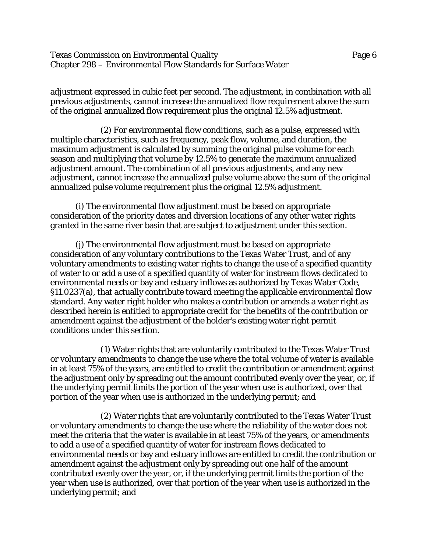Texas Commission on Environmental Quality Page 6 Chapter 298 – Environmental Flow Standards for Surface Water

adjustment expressed in cubic feet per second. The adjustment, in combination with all previous adjustments, cannot increase the annualized flow requirement above the sum of the original annualized flow requirement plus the original 12.5% adjustment.

(2) For environmental flow conditions, such as a pulse, expressed with multiple characteristics, such as frequency, peak flow, volume, and duration, the maximum adjustment is calculated by summing the original pulse volume for each season and multiplying that volume by 12.5% to generate the maximum annualized adjustment amount. The combination of all previous adjustments, and any new adjustment, cannot increase the annualized pulse volume above the sum of the original annualized pulse volume requirement plus the original 12.5% adjustment.

(i) The environmental flow adjustment must be based on appropriate consideration of the priority dates and diversion locations of any other water rights granted in the same river basin that are subject to adjustment under this section.

(j) The environmental flow adjustment must be based on appropriate consideration of any voluntary contributions to the Texas Water Trust, and of any voluntary amendments to existing water rights to change the use of a specified quantity of water to or add a use of a specified quantity of water for instream flows dedicated to environmental needs or bay and estuary inflows as authorized by Texas Water Code, §11.0237(a), that actually contribute toward meeting the applicable environmental flow standard. Any water right holder who makes a contribution or amends a water right as described herein is entitled to appropriate credit for the benefits of the contribution or amendment against the adjustment of the holder's existing water right permit conditions under this section.

(1) Water rights that are voluntarily contributed to the Texas Water Trust or voluntary amendments to change the use where the total volume of water is available in at least 75% of the years, are entitled to credit the contribution or amendment against the adjustment only by spreading out the amount contributed evenly over the year, or, if the underlying permit limits the portion of the year when use is authorized, over that portion of the year when use is authorized in the underlying permit; and

(2) Water rights that are voluntarily contributed to the Texas Water Trust or voluntary amendments to change the use where the reliability of the water does not meet the criteria that the water is available in at least 75% of the years, or amendments to add a use of a specified quantity of water for instream flows dedicated to environmental needs or bay and estuary inflows are entitled to credit the contribution or amendment against the adjustment only by spreading out one half of the amount contributed evenly over the year, or, if the underlying permit limits the portion of the year when use is authorized, over that portion of the year when use is authorized in the underlying permit; and